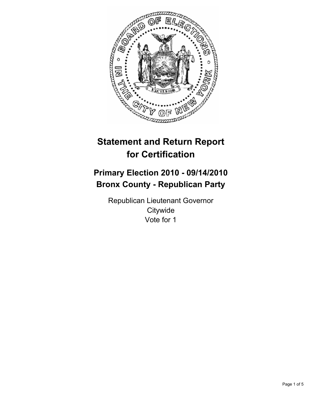

# **Statement and Return Report for Certification**

## **Primary Election 2010 - 09/14/2010 Bronx County - Republican Party**

Republican Lieutenant Governor **Citywide** Vote for 1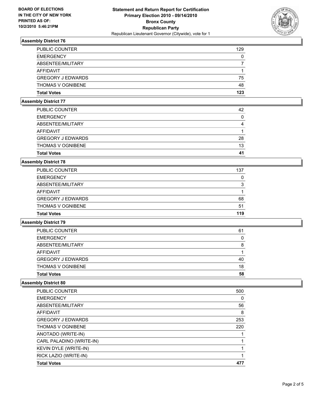

### **Assembly District 76**

| <b>PUBLIC COUNTER</b>    | 129 |
|--------------------------|-----|
| <b>EMERGENCY</b>         | 0   |
| ABSENTEE/MILITARY        |     |
| AFFIDAVIT                |     |
| <b>GREGORY J EDWARDS</b> | 75  |
| <b>THOMAS V OGNIBENE</b> | 48  |
| <b>Total Votes</b>       | 123 |

#### **Assembly District 77**

| 41 |
|----|
| 13 |
| 28 |
|    |
| 4  |
| 0  |
| 42 |
|    |

#### **Assembly District 78**

| <b>Total Votes</b>       | 119 |
|--------------------------|-----|
| <b>THOMAS V OGNIBENE</b> | 51  |
| <b>GREGORY J EDWARDS</b> | 68  |
| AFFIDAVIT                |     |
| ABSENTEE/MILITARY        | 3   |
| <b>EMERGENCY</b>         | 0   |
| <b>PUBLIC COUNTER</b>    | 137 |

#### **Assembly District 79**

| <b>Total Votes</b>       |    |
|--------------------------|----|
|                          | 58 |
| <b>THOMAS V OGNIBENE</b> | 18 |
| <b>GREGORY J EDWARDS</b> | 40 |
| AFFIDAVIT                |    |
| ABSENTEE/MILITARY        | 8  |
| <b>EMERGENCY</b>         | 0  |
| PUBLIC COUNTER           | 61 |

#### **Assembly District 80**

| <b>Total Votes</b>       | 477 |
|--------------------------|-----|
| RICK LAZIO (WRITE-IN)    |     |
| KEVIN DYLE (WRITE-IN)    |     |
| CARL PALADINO (WRITE-IN) |     |
| ANOTADO (WRITE-IN)       |     |
| <b>THOMAS V OGNIBENE</b> | 220 |
| <b>GREGORY J EDWARDS</b> | 253 |
| AFFIDAVIT                | 8   |
| ABSENTEE/MILITARY        | 56  |
| <b>EMERGENCY</b>         | 0   |
| <b>PUBLIC COUNTER</b>    | 500 |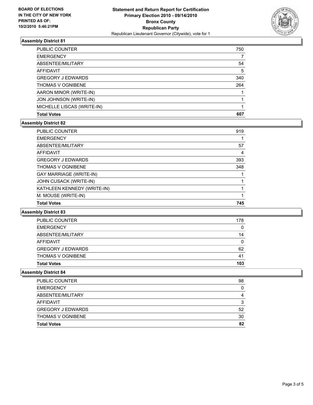

#### **Assembly District 81**

| <b>Total Votes</b>         | 607 |
|----------------------------|-----|
| MICHELLE LISCAS (WRITE-IN) |     |
| JON JOHNSON (WRITE-IN)     |     |
| AARON MINOR (WRITE-IN)     |     |
| <b>THOMAS V OGNIBENE</b>   | 264 |
| <b>GREGORY J EDWARDS</b>   | 340 |
| <b>AFFIDAVIT</b>           | 5   |
| ABSENTEE/MILITARY          | 54  |
| <b>EMERGENCY</b>           |     |
| PUBLIC COUNTER             | 750 |

#### **Assembly District 82**

| <b>PUBLIC COUNTER</b>          | 919 |
|--------------------------------|-----|
| <b>EMERGENCY</b>               |     |
| ABSENTEE/MILITARY              | 57  |
| <b>AFFIDAVIT</b>               | 4   |
| <b>GREGORY J EDWARDS</b>       | 393 |
| <b>THOMAS V OGNIBENE</b>       | 348 |
| <b>GAY MARRIAGE (WRITE-IN)</b> |     |
| JOHN CUSACK (WRITE-IN)         |     |
| KATHLEEN KENNEDY (WRITE-IN)    |     |
| M. MOUSE (WRITE-IN)            |     |
| <b>Total Votes</b>             | 745 |

#### **Assembly District 83**

| <b>Total Votes</b>       | 103 |
|--------------------------|-----|
| <b>THOMAS V OGNIBENE</b> | 41  |
| <b>GREGORY J EDWARDS</b> | 62  |
| AFFIDAVIT                | 0   |
| ABSENTEE/MILITARY        | 14  |
| <b>EMERGENCY</b>         | 0   |
| <b>PUBLIC COUNTER</b>    | 178 |

#### **Assembly District 84**

| PUBLIC COUNTER           | 98 |
|--------------------------|----|
| <b>EMERGENCY</b>         |    |
| ABSENTEE/MILITARY        |    |
| AFFIDAVIT                | ີ  |
| <b>GREGORY J EDWARDS</b> | 52 |
| <b>THOMAS V OGNIBENE</b> | 30 |
| <b>Total Votes</b>       | 82 |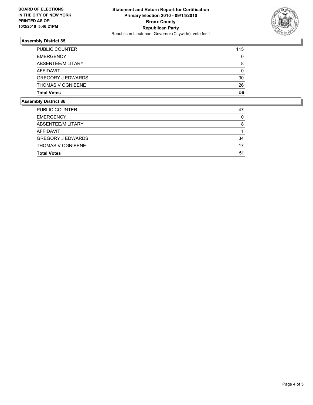

#### **Assembly District 85**

| Abbel Diateint OC        |     |
|--------------------------|-----|
| <b>Total Votes</b>       | 56  |
| <b>THOMAS V OGNIBENE</b> | 26  |
| <b>GREGORY J EDWARDS</b> | 30  |
| AFFIDAVIT                | 0   |
| ABSENTEE/MILITARY        | 8   |
| <b>EMERGENCY</b>         | 0   |
| <b>PUBLIC COUNTER</b>    | 115 |

### **Assembly District 86**

| <b>Total Votes</b>       | 51 |
|--------------------------|----|
| <b>THOMAS V OGNIBENE</b> | 17 |
| <b>GREGORY J EDWARDS</b> | 34 |
| AFFIDAVIT                |    |
| ABSENTEE/MILITARY        | 8  |
| <b>EMERGENCY</b>         | 0  |
| <b>PUBLIC COUNTER</b>    | 47 |